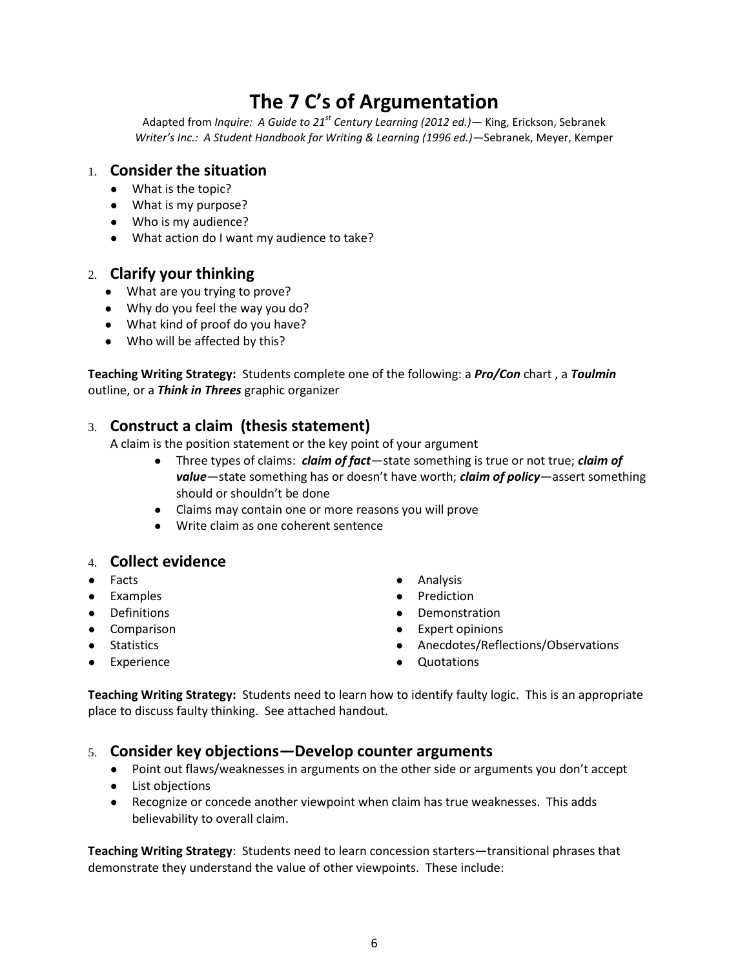# **The 7 C's of Argumentation**

Adapted from *Inquire: A Guide to 21st Century Learning (2012 ed.)—* King, Erickson, Sebranek *Writer's Inc.: A Student Handbook for Writing & Learning (1996 ed.)—*Sebranek, Meyer, Kemper

# 1. **Consider the situation**

- What is the topic?
- What is my purpose?
- Who is my audience?
- What action do I want my audience to take?

### 2. **Clarify your thinking**

- What are you trying to prove?
- Why do you feel the way you do?
- What kind of proof do you have?
- Who will be affected by this?

**Teaching Writing Strategy:** Students complete one of the following: a *Pro/Con* chart , a *Toulmin*  outline, or a *Think in Threes* graphic organizer

# 3. **Construct a claim (thesis statement)**

A claim is the position statement or the key point of your argument

- Three types of claims: *claim of fact*—state something is true or not true; *claim of value*—state something has or doesn't have worth; *claim of policy*—assert something should or shouldn't be done
- Claims may contain one or more reasons you will prove
- Write claim as one coherent sentence

#### 4. **Collect evidence**

- Facts
- Examples
- Definitions
- Comparison
- Statistics
- Experience
- Analysis
- Prediction
- Demonstration
- Expert opinions
- Anecdotes/Reflections/Observations
- **Quotations**

**Teaching Writing Strategy:** Students need to learn how to identify faulty logic. This is an appropriate place to discuss faulty thinking. See attached handout.

#### 5. **Consider key objections—Develop counter arguments**

- Point out flaws/weaknesses in arguments on the other side or arguments you don't accept
- List objections
- Recognize or concede another viewpoint when claim has true weaknesses. This adds believability to overall claim.

**Teaching Writing Strategy**: Students need to learn concession starters—transitional phrases that demonstrate they understand the value of other viewpoints. These include:

6